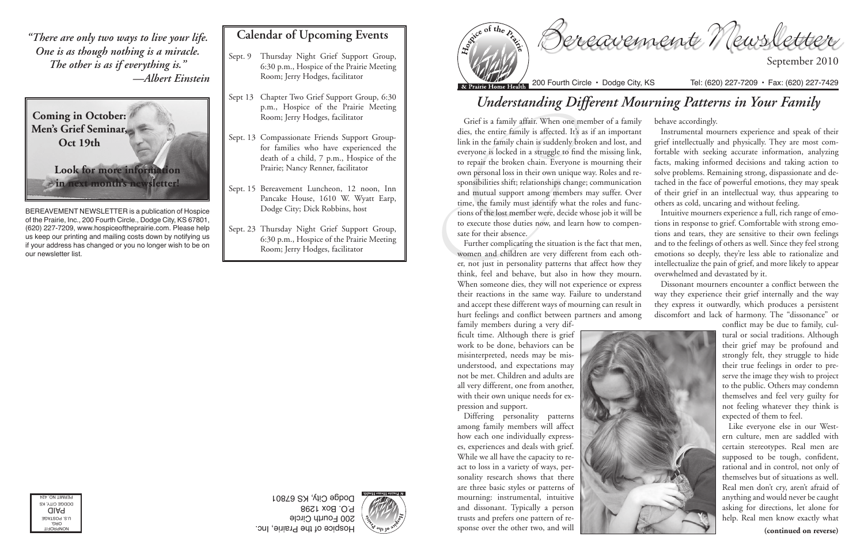Bereavement Newsletter

September 2010



Hospice of the Prairie, Inc. 200 Fourth Circle P.O. Box 1298 Dodge City, KS 67801





BEREAVEMENT NEWSLETTER is a publication of Hospice of the Prairie, Inc., 200 Fourth Circle., Dodge City, KS 67801, (620) 227-7209, www.hospiceoftheprairie.com. Please help us keep our printing and mailing costs down by notifying us if your address has changed or you no longer wish to be on our newsletter list.

## **Calendar of Upcoming Events**

- Sept. 9 Thursday Night Grief Support Group, 6:30 p.m., Hospice of the Prairie Meeting Room; Jerry Hodges, facilitator
- Sept 13 Chapter Two Grief Support Group, 6:30 p.m., Hospice of the Prairie Meeting Room; Jerry Hodges, facilitator
- Sept. 13 Compassionate Friends Support Groupfor families who have experienced the death of a child, 7 p.m., Hospice of the Prairie; Nancy Renner, facilitator
- Sept. 15 Bereavement Luncheon, 12 noon, Inn Pancake House, 1610 W. Wyatt Earp, Dodge City; Dick Robbins, host
- Sept. 23 Thursday Night Grief Support Group, 6:30 p.m., Hospice of the Prairie Meeting Room; Jerry Hodges, facilitator

## *Understanding Different Mourning Patterns in Your Family*

Grief is a family affair. When c<br>dies, the entire family is affected<br>link in the family chain is sudden<br>everyone is locked in a struggle t<br>to repair the broken chain. Ever<br>own personal loss in their own ur<br>sponsibilities s Grief is a family affair. When one member of a family dies, the entire family is affected. It's as if an important link in the family chain is suddenly broken and lost, and everyone is locked in a struggle to find the missing link, to repair the broken chain. Everyone is mourning their own personal loss in their own unique way. Roles and responsibilities shift; relationships change; communication and mutual support among members may suffer. Over time, the family must identify what the roles and functions of the lost member were, decide whose job it will be to execute those duties now, and learn how to compensate for their absence. behave accordingly. Instrumental mourners experience and speak of their grief intellectually and physically. They are most comfortable with seeking accurate information, analyzing facts, making informed decisions and taking action to solve problems. Remaining strong, dispassionate and detached in the face of powerful emotions, they may speak of their grief in an intellectual way, thus appearing to others as cold, uncaring and without feeling. Intuitive mourners experience a full, rich range of emotions in response to grief. Comfortable with strong emotions and tears, they are sensitive to their own feelings

family members during a very difficult time. Although there is grief work to be done, behaviors can be misinterpreted, needs may be misunderstood, and expectations may not be met. Children and adults are all very different, one from another, with their own unique needs for expression and support.

Differing personality patterns among family members will affect how each one individually expresses, experiences and deals with grief. While we all have the capacity to react to loss in a variety of ways, personality research shows that there are three basic styles or patterns of mourning: instrumental, intuitive and dissonant. Typically a person trusts and prefers one pattern of response over the other two, and will





Further complicating the situation is the fact that men, women and children are very different from each other, not just in personality patterns that affect how they think, feel and behave, but also in how they mourn. When someone dies, they will not experience or express their reactions in the same way. Failure to understand and accept these different ways of mourning can result in hurt feelings and conflict between partners and among and to the feelings of others as well. Since they feel strong emotions so deeply, they're less able to rationalize and intellectualize the pain of grief, and more likely to appear overwhelmed and devastated by it. Dissonant mourners encounter a conflict between the way they experience their grief internally and the way they express it outwardly, which produces a persistent discomfort and lack of harmony. The "dissonance" or

conflict may be due to family, cultural or social traditions. Although their grief may be profound and strongly felt, they struggle to hide their true feelings in order to preserve the image they wish to project to the public. Others may condemn themselves and feel very guilty for not feeling whatever they think is expected of them to feel.

Like everyone else in our Western culture, men are saddled with certain stereotypes. Real men are supposed to be tough, confident, rational and in control, not only of themselves but of situations as well. Real men don't cry, aren't afraid of anything and would never be caught asking for directions, let alone for help. Real men know exactly what

*"There are only two ways to live your life. One is as though nothing is a miracle. The other is as if everything is." —Albert Einstein*